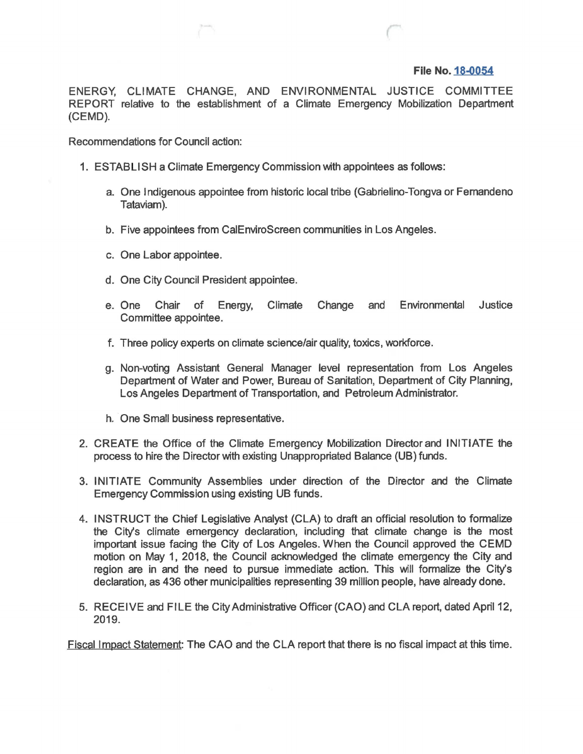## **File No. 18-0054**

ENERGY, CLIMATE CHANGE, AND ENVIRONMENTAL JUSTICE COMMITTEE REPORT relative to the establishment of a Climate Emergency Mobilization Department (CEMD).

Recommendations for Council action:

- 1. ESTAB LISH a Climate Emergency Commission with appointees as follows:
	- a. One Indigenous appointee from historic local tribe (Gabrielino-Tongva or Femandeno Tataviam).
	- b. Five appointees from CaiEnviroScreen communities in Los Angeles.
	- c. One Labor appointee.
	- d. One City Council President appointee.
	- e. One Chair of Energy, Climate Change and Environmental Justice Committee appointee.
	- f. Three policy experts on climate science/air quality, toxics, workforce.
	- g. Non-voting Assistant General Manager level representation from Los Angeles Department of Water and Power, Bureau of Sanitation, Department of City Planning, Los Angeles Department of Transportation, and Petroleum Administrator.
	- h. One Small business representative.
- 2. CREATE the Office of the Climate Emergency Mobilization Director and INITIATE the process to hire the Director with existing Unappropriated Balance (UB) funds.
- 3. INITIATE Community Assemblies under direction of the Director and the Climate Emergency Commission using existing UB funds.
- 4. INSTRUCT the Chief Legislative Analyst (CLA) to draft an official resolution to formalize the City's climate emergency declaration, including that climate change is the most important issue facing the City of Los Angeles. When the Council approved the CEMD motion on May 1, 2018, the Council acknowledged the climate emergency the City and region are in and the need to pursue immediate action. This will formalize the City's declaration, as 436 other municipalities representing 39 million people, have already done.
- 5. RECEIVE and FILE the City Administrative Officer (CAO) and CLA report, dated April 12, 2019.

Fiscal Impact Statement: The CAO and the CLA report that there is no fiscal impact at this time.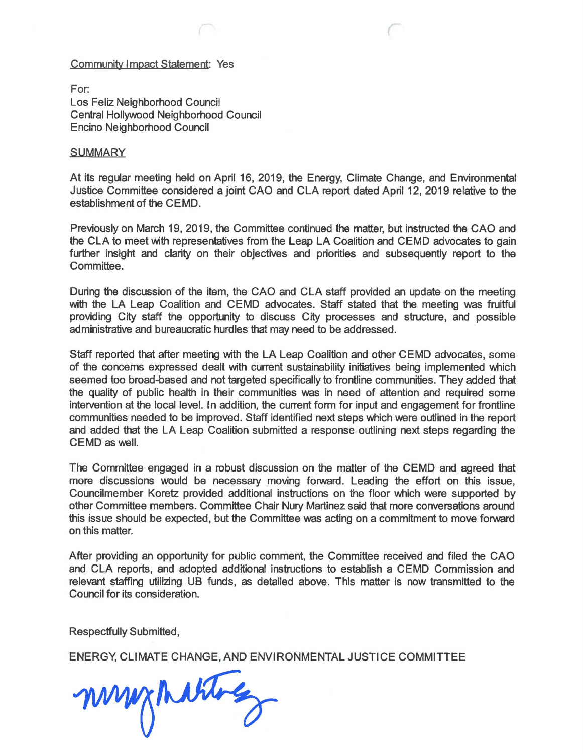## Community Impact Statement: Yes

For: Los Feliz Neighborhood Council Central Hollyvvood Neighborhood Council Encino Neighborhood Council

## **SUMMARY**

At its regular meeting held on April 16, 2019, the Energy, Climate Change, and Environmental Justice Committee considered a joint CAO and CLA report dated April 12, 2019 relative to the establishment of the CEMD.

Previously on March 19, 2019, the Committee continued the matter, but instructed the CAO and the CLA to meet with representatives from the Leap LA Coalition and CEMD advocates to gain further insight and clarity on their objectives and priorities and subsequently report to the Committee.

During the discussion of the item, the CAO and CLA staff provided an update on the meeting with the LA Leap Coalition and CEMD advocates. Staff stated that the meeting was fruitful providing City staff the opportunity to discuss City processes and structure, and possible administrative and bureaucratic hurdles that may need to be addressed.

Staff reported that after meeting with the LA Leap Coalition and other CEMD advocates, some of the concerns expressed dealt with current sustainability initiatives being implemented which seemed too broad-based and not targeted specifically to frontline communities. They added that the quality of public health in their communities was in need of attention and required some intervention at the local level. In addition, the current form for input and engagement for frontline communities needed to be improved. Staff identified next steps which were outlined in the report and added that the LA Leap Coalition submitted a response outlining next steps regarding the CEMD as well.

The Committee engaged in a robust discussion on the matter of the CEMD and agreed that more discussions would be necessary moving forward. Leading the effort on this issue, Councilmember Koretz provided additional instructions on the floor which were supported by other Committee members. Committee Chair Nury Martinez said that more conversations around this issue should be expected, but the Committee was acting on a commitment to move forward on this matter.

After providing an opportunity for public comment, the Committee received and filed the CAO and CLA reports, and adopted additional instructions to establish a CEMD Commission and relevant staffing utilizing UB funds, as detailed above. This matter is now transmitted to the Council for its consideration.

Respectfully Submitted,

ENERGY, CLIMATE CHANGE, AND ENVIRONMENTAL JUSTICE COMMITTEE

mynities